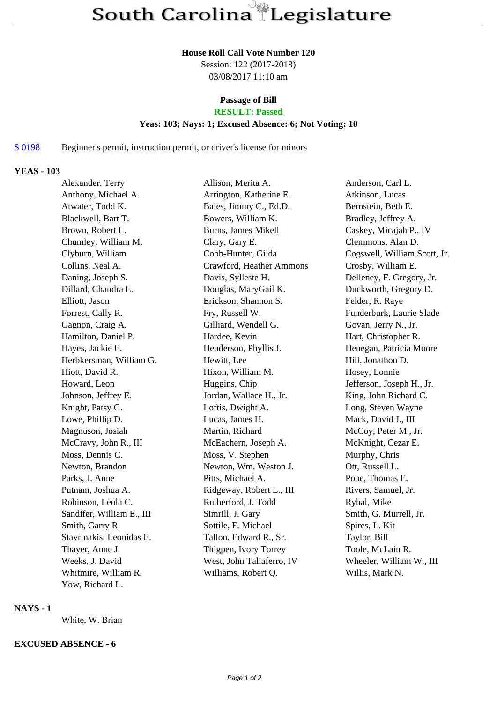#### **House Roll Call Vote Number 120**

Session: 122 (2017-2018) 03/08/2017 11:10 am

# **Passage of Bill**

# **RESULT: Passed**

### **Yeas: 103; Nays: 1; Excused Absence: 6; Not Voting: 10**

## S 0198 Beginner's permit, instruction permit, or driver's license for minors

### **YEAS - 103**

| Alexander, Terry          | Allison, Merita A.         | Anderson, Carl L.            |
|---------------------------|----------------------------|------------------------------|
| Anthony, Michael A.       | Arrington, Katherine E.    | Atkinson, Lucas              |
| Atwater, Todd K.          | Bales, Jimmy C., Ed.D.     | Bernstein, Beth E.           |
| Blackwell, Bart T.        | Bowers, William K.         | Bradley, Jeffrey A.          |
| Brown, Robert L.          | <b>Burns, James Mikell</b> | Caskey, Micajah P., IV       |
| Chumley, William M.       | Clary, Gary E.             | Clemmons, Alan D.            |
| Clyburn, William          | Cobb-Hunter, Gilda         | Cogswell, William Scott, Jr. |
| Collins, Neal A.          | Crawford, Heather Ammons   | Crosby, William E.           |
| Daning, Joseph S.         | Davis, Sylleste H.         | Delleney, F. Gregory, Jr.    |
| Dillard, Chandra E.       | Douglas, MaryGail K.       | Duckworth, Gregory D.        |
| Elliott, Jason            | Erickson, Shannon S.       | Felder, R. Raye              |
| Forrest, Cally R.         | Fry, Russell W.            | Funderburk, Laurie Slade     |
| Gagnon, Craig A.          | Gilliard, Wendell G.       | Govan, Jerry N., Jr.         |
| Hamilton, Daniel P.       | Hardee, Kevin              | Hart, Christopher R.         |
| Hayes, Jackie E.          | Henderson, Phyllis J.      | Henegan, Patricia Moore      |
| Herbkersman, William G.   | Hewitt, Lee                | Hill, Jonathon D.            |
| Hiott, David R.           | Hixon, William M.          | Hosey, Lonnie                |
| Howard, Leon              | Huggins, Chip              | Jefferson, Joseph H., Jr.    |
| Johnson, Jeffrey E.       | Jordan, Wallace H., Jr.    | King, John Richard C.        |
| Knight, Patsy G.          | Loftis, Dwight A.          | Long, Steven Wayne           |
| Lowe, Phillip D.          | Lucas, James H.            | Mack, David J., III          |
| Magnuson, Josiah          | Martin, Richard            | McCoy, Peter M., Jr.         |
| McCravy, John R., III     | McEachern, Joseph A.       | McKnight, Cezar E.           |
| Moss, Dennis C.           | Moss, V. Stephen           | Murphy, Chris                |
| Newton, Brandon           | Newton, Wm. Weston J.      | Ott, Russell L.              |
| Parks, J. Anne            | Pitts, Michael A.          | Pope, Thomas E.              |
| Putnam, Joshua A.         | Ridgeway, Robert L., III   | Rivers, Samuel, Jr.          |
| Robinson, Leola C.        | Rutherford, J. Todd        | Ryhal, Mike                  |
| Sandifer, William E., III | Simrill, J. Gary           | Smith, G. Murrell, Jr.       |
| Smith, Garry R.           | Sottile, F. Michael        | Spires, L. Kit               |
| Stavrinakis, Leonidas E.  | Tallon, Edward R., Sr.     | Taylor, Bill                 |
| Thayer, Anne J.           | Thigpen, Ivory Torrey      | Toole, McLain R.             |
| Weeks, J. David           | West, John Taliaferro, IV  | Wheeler, William W., III     |
| Whitmire, William R.      | Williams, Robert Q.        | Willis, Mark N.              |
| Yow, Richard L.           |                            |                              |

### **NAYS - 1**

White, W. Brian

# **EXCUSED ABSENCE - 6**